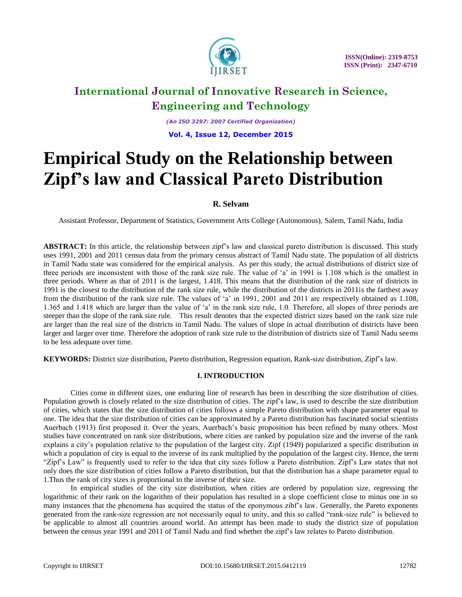

*(An ISO 3297: 2007 Certified Organization)*

**Vol. 4, Issue 12, December 2015**

# **Empirical Study on the Relationship between Zipf's law and Classical Pareto Distribution**

# **R. Selvam**

Assistant Professor, Department of Statistics, Government Arts College (Autonomous), Salem, Tamil Nadu, India

**ABSTRACT:** In this article, the relationship between zipf"s law and classical pareto distribution is discussed. This study uses 1991, 2001 and 2011 census data from the primary census abstract of Tamil Nadu state. The population of all districts in Tamil Nadu state was considered for the empirical analysis. As per this study, the actual distributions of district size of three periods are inconsistent with those of the rank size rule. The value of "a" in 1991 is 1.108 which is the smallest in three periods. Where as that of 2011 is the largest, 1.418. This means that the distribution of the rank size of districts in 1991 is the closest to the distribution of the rank size rule, while the distribution of the districts in 2011is the farthest away from the distribution of the rank size rule. The values of 'a' in 1991, 2001 and 2011 are respectively obtained as 1.108, 1.365 and 1.418 which are larger than the value of "a" in the rank size rule, 1.0. Therefore, all slopes of three periods are steeper than the slope of the rank size rule. This result denotes that the expected district sizes based on the rank size rule are larger than the real size of the districts in Tamil Nadu. The values of slope in actual distribution of districts have been larger and larger over time. Therefore the adoption of rank size rule to the distribution of districts size of Tamil Nadu seems to be less adequate over time.

**KEYWORDS:** District size distribution, Pareto distribution, Regression equation, Rank-size distribution, Zipf"s law.

### **I. INTRODUCTION**

Cities come in different sizes, one enduring line of research has been in describing the size distribution of cities. Population growth is closely related to the size distribution of cities. The zipf"s law, is used to describe the size distribution of cities, which states that the size distribution of cities follows a simple Pareto distribution with shape parameter equal to one. The idea that the size distribution of cities can be approximated by a Pareto distribution has fascinated social scientists Auerbach (1913) first proposed it. Over the years, Auerbach"s basic proposition has been refined by many others. Most studies have concentrated on rank size distributions, where cities are ranked by population size and the inverse of the rank explains a city"s population relative to the population of the largest city. Zipf (1949) popularized a specific distribution in which a population of city is equal to the inverse of its rank multiplied by the population of the largest city. Hence, the term "Zipf"s Law" is frequently used to refer to the idea that city sizes follow a Pareto distribution. Zipf"s Law states that not only does the size distribution of cities follow a Pareto distribution, but that the distribution has a shape parameter equal to 1.Thus the rank of city sizes is proportional to the inverse of their size.

 In empirical studies of the city size distribution, when cities are ordered by population size, regressing the logarithmic of their rank on the logarithm of their population has resulted in a slope coefficient close to minus one in so many instances that the phenomena has acquired the status of the eponymous zibf"s law. Generally, the Pareto exponents generated from the rank-size regression are not necessarily equal to unity, and this so called "rank-size rule" is believed to be applicable to almost all countries around world. An attempt has been made to study the district size of population between the census year 1991 and 2011 of Tamil Nadu and find whether the zipf"s law relates to Pareto distribution.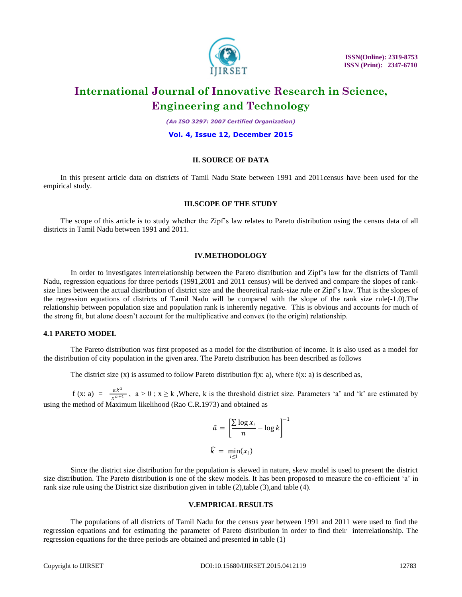

*(An ISO 3297: 2007 Certified Organization)*

#### **Vol. 4, Issue 12, December 2015**

# **II. SOURCE OF DATA**

 In this present article data on districts of Tamil Nadu State between 1991 and 2011census have been used for the empirical study.

### **III.SCOPE OF THE STUDY**

 The scope of this article is to study whether the Zipf"s law relates to Pareto distribution using the census data of all districts in Tamil Nadu between 1991 and 2011.

#### **IV.METHODOLOGY**

In order to investigates interrelationship between the Pareto distribution and Zipf"s law for the districts of Tamil Nadu, regression equations for three periods (1991,2001 and 2011 census) will be derived and compare the slopes of ranksize lines between the actual distribution of district size and the theoretical rank-size rule or Zipf"s law. That is the slopes of the regression equations of districts of Tamil Nadu will be compared with the slope of the rank size rule(-1.0).The relationship between population size and population rank is inherently negative. This is obvious and accounts for much of the strong fit, but alone doesn"t account for the multiplicative and convex (to the origin) relationship.

### **4.1 PARETO MODEL**

The Pareto distribution was first proposed as a model for the distribution of income. It is also used as a model for the distribution of city population in the given area. The Pareto distribution has been described as follows

The district size  $(x)$  is assumed to follow Pareto distribution  $f(x: a)$ , where  $f(x: a)$  is described as,

 $f (x: a) = \frac{ak^a}{a+b}$  $\frac{a_n}{x^{a+1}}$ ,  $a > 0$ ;  $x \ge k$ , Where, k is the threshold district size. Parameters 'a' and 'k' are estimated by using the method of Maximum likelihood (Rao C.R.1973) and obtained as

$$
\hat{a} = \left[\frac{\sum \log x_i}{n} - \log k\right]^{-1}
$$

$$
\hat{k} = \min_{i \le 1} (x_i)
$$

Since the district size distribution for the population is skewed in nature, skew model is used to present the district size distribution. The Pareto distribution is one of the skew models. It has been proposed to measure the co-efficient 'a' in rank size rule using the District size distribution given in table (2), table (3), and table (4).

### **V.EMPRICAL RESULTS**

The populations of all districts of Tamil Nadu for the census year between 1991 and 2011 were used to find the regression equations and for estimating the parameter of Pareto distribution in order to find their interrelationship. The regression equations for the three periods are obtained and presented in table (1)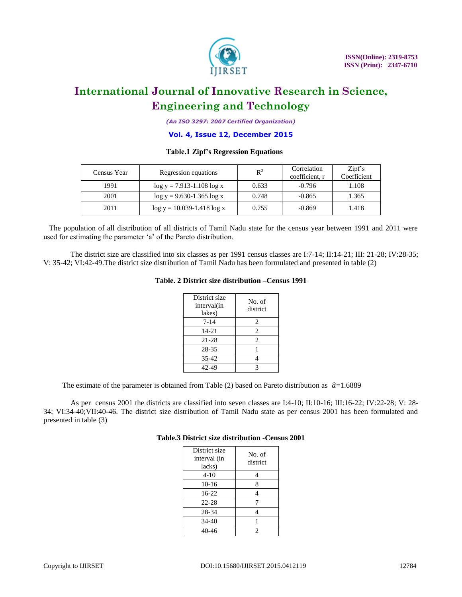

*(An ISO 3297: 2007 Certified Organization)*

### **Vol. 4, Issue 12, December 2015**

# **Table.1 Zipf's Regression Equations**

| Census Year | Regression equations           | $R^2$ | Correlation<br>coefficient. r | Zipfs<br>Coefficient |
|-------------|--------------------------------|-------|-------------------------------|----------------------|
| 1991        | $log y = 7.913 - 1.108 log x$  | 0.633 | $-0.796$                      | 1.108                |
| 2001        | $log y = 9.630 - 1.365 log x$  | 0.748 | $-0.865$                      | 1.365                |
| 2011        | $log y = 10.039 - 1.418 log x$ | 0.755 | $-0.869$                      | 1.418                |

 The population of all distribution of all districts of Tamil Nadu state for the census year between 1991 and 2011 were used for estimating the parameter 'a' of the Pareto distribution.

The district size are classified into six classes as per 1991 census classes are I:7-14; II:14-21; III: 21-28; IV:28-35; V: 35-42; VI:42-49.The district size distribution of Tamil Nadu has been formulated and presented in table (2)

## **Table. 2 District size distribution –Census 1991**

| District size<br>interval(in<br>lakes) | No. of<br>district |
|----------------------------------------|--------------------|
| 7-14                                   | 2                  |
| $14 - 21$                              | 2                  |
| 21-28                                  | $\mathfrak{D}$     |
| 28-35                                  |                    |
| $35 - 42$                              |                    |
| 42-49                                  | 3                  |

The estimate of the parameter is obtained from Table (2) based on Pareto distribution as  $\hat{a}=1.6889$ 

As per census 2001 the districts are classified into seven classes are I:4-10; II:10-16; III:16-22; IV:22-28; V: 28- 34; VI:34-40;VII:40-46. The district size distribution of Tamil Nadu state as per census 2001 has been formulated and presented in table (3)

### **Table.3 District size distribution -Census 2001**

| District size<br>interval (in<br>lacks) | No. of<br>district |  |
|-----------------------------------------|--------------------|--|
| $4 - 10$                                |                    |  |
| $10-16$                                 | 8                  |  |
| $16-22$                                 |                    |  |
| $22 - 28$                               |                    |  |
| 28-34                                   |                    |  |
| 34-40                                   |                    |  |
| $40 - 46$                               | 2                  |  |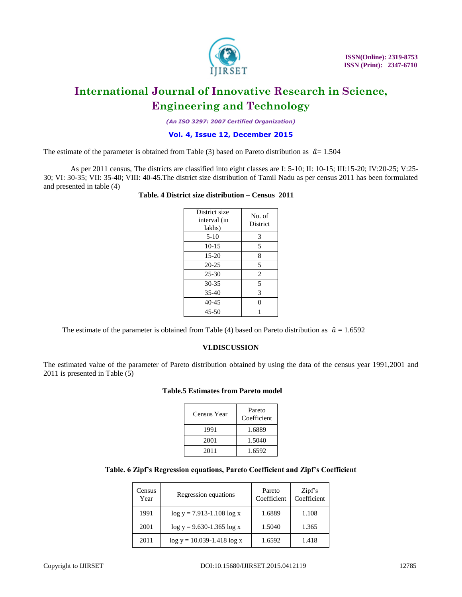

*(An ISO 3297: 2007 Certified Organization)*

# **Vol. 4, Issue 12, December 2015**

The estimate of the parameter is obtained from Table (3) based on Pareto distribution as  $\hat{a}$  = 1.504

As per 2011 census, The districts are classified into eight classes are I: 5-10; II: 10-15; III:15-20; IV:20-25; V:25- 30; VI: 30-35; VII: 35-40; VIII: 40-45.The district size distribution of Tamil Nadu as per census 2011 has been formulated and presented in table (4)

# **Table. 4 District size distribution – Census 2011**

| District size<br>interval (in<br>lakhs) | No. of<br><b>District</b> |  |
|-----------------------------------------|---------------------------|--|
| $5-10$                                  | 3                         |  |
| $10-15$                                 | 5                         |  |
| $15 - 20$                               | 8                         |  |
| $20 - 25$                               | 5                         |  |
| $25 - 30$                               | 2                         |  |
| 30-35                                   | 5                         |  |
| $35-40$                                 | 3                         |  |
| 40-45                                   | $\theta$                  |  |
| 45-50                                   |                           |  |

The estimate of the parameter is obtained from Table (4) based on Pareto distribution as  $\hat{a} = 1.6592$ 

# **VI.DISCUSSION**

The estimated value of the parameter of Pareto distribution obtained by using the data of the census year 1991,2001 and 2011 is presented in Table (5)

# **Table.5 Estimates from Pareto model**

| Census Year | Pareto<br>Coefficient |
|-------------|-----------------------|
| 1991        | 1.6889                |
| 2001        | 1.5040                |
| 2011        | 1.6592                |

# **Table. 6 Zipf's Regression equations, Pareto Coefficient and Zipf's Coefficient**

| Census<br>Year | Regression equations           | Pareto<br>Coefficient | Zipfs<br>Coefficient |
|----------------|--------------------------------|-----------------------|----------------------|
| 1991           | $log y = 7.913 - 1.108 log x$  | 1.6889                | 1.108                |
| 2001           | $log y = 9.630 - 1.365 log x$  | 1.5040                | 1.365                |
| 2011           | $log y = 10.039 - 1.418 log x$ | 1.6592                | 1.418                |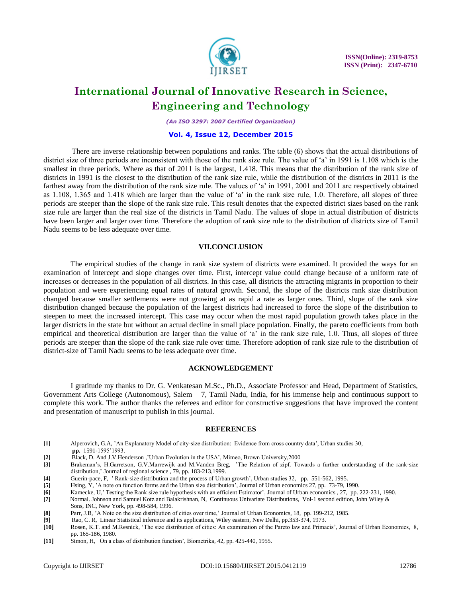

*(An ISO 3297: 2007 Certified Organization)*

#### **Vol. 4, Issue 12, December 2015**

 There are inverse relationship between populations and ranks. The table (6) shows that the actual distributions of district size of three periods are inconsistent with those of the rank size rule. The value of 'a' in 1991 is 1.108 which is the smallest in three periods. Where as that of 2011 is the largest, 1.418. This means that the distribution of the rank size of districts in 1991 is the closest to the distribution of the rank size rule, while the distribution of the districts in 2011 is the farthest away from the distribution of the rank size rule. The values of 'a' in 1991, 2001 and 2011 are respectively obtained as 1.108, 1.365 and 1.418 which are larger than the value of "a" in the rank size rule, 1.0. Therefore, all slopes of three periods are steeper than the slope of the rank size rule. This result denotes that the expected district sizes based on the rank size rule are larger than the real size of the districts in Tamil Nadu. The values of slope in actual distribution of districts have been larger and larger over time. Therefore the adoption of rank size rule to the distribution of districts size of Tamil Nadu seems to be less adequate over time.

# **VII.CONCLUSION**

 The empirical studies of the change in rank size system of districts were examined. It provided the ways for an examination of intercept and slope changes over time. First, intercept value could change because of a uniform rate of increases or decreases in the population of all districts. In this case, all districts the attracting migrants in proportion to their population and were experiencing equal rates of natural growth. Second, the slope of the districts rank size distribution changed because smaller settlements were not growing at as rapid a rate as larger ones. Third, slope of the rank size distribution changed because the population of the largest districts had increased to force the slope of the distribution to steepen to meet the increased intercept. This case may occur when the most rapid population growth takes place in the larger districts in the state but without an actual decline in small place population. Finally, the pareto coefficients from both empirical and theoretical distribution are larger than the value of 'a' in the rank size rule, 1.0. Thus, all slopes of three periods are steeper than the slope of the rank size rule over time. Therefore adoption of rank size rule to the distribution of district-size of Tamil Nadu seems to be less adequate over time.

#### **ACKNOWLEDGEMENT**

I gratitude my thanks to Dr. G. Venkatesan M.Sc., Ph.D., Associate Professor and Head, Department of Statistics, Government Arts College (Autonomous), Salem – 7, Tamil Nadu, India, for his immense help and continuous support to complete this work. The author thanks the referees and editor for constructive suggestions that have improved the content and presentation of manuscript to publish in this journal.

### **REFERENCES**

- **[1]** Alperovich, G.A, "An Explanatory Model of city-size distribution: Evidence from cross country data", Urban studies 30,  **pp.** 1591-1595"1993.
- **[2] Black, D. And J.V.Henderson**, 'Urban Evolution in the USA', Mimeo, Brown University, 2000<br> **[3]** Brakeman's H. Garretson, G. V. Marrewijk and M. Vanden Breg. The Relation of zipf. Tow
- **[3]** Brakeman"s, H.Garretson, G.V.Marrewijk and M.Vanden Breg, "The Relation of zipf. Towards a further understanding of the rank-size distribution,' Journal of regional science, 79, pp. 183-213,1999.
- **[4]** Guerin-pace, F, " Rank-size distribution and the process of Urban growth", Urban studies 32, pp. 551-562, 1995.
- **[5]** Hsing, Y, "A note on function forms and the Urban size distribution", Journal of Urban economics 27, pp. 73-79, 1990.
- Kamecke, U,' Testing the Rank size rule hypothesis with an efficient Estimator', Journal of Urban economics, 27, pp. 222-231, 1990.

**[7]** Normal. Johnson and Samuel Kotz and Balakrishnan, N, Continuous Univariate Distributions, Vol-1 second edition, John Wiley & Sons, INC, New York, pp. 498-584, 1996.

- **[8]** Parr, J.B, 'A Note on the size distribution of cities over time,' Journal of Urban Economics, 18, pp. 199-212, 1985.<br>**[9]** Rao, C. R, Linear Statistical inference and its applications, Wiley eastern, New Delhi, pp.35
- **[9]** Rao, C. R, Linear Statistical inference and its applications, Wiley eastern, New Delhi, pp.353-374, 1973.
- **[10]** Rosen, K.T. and M.Resnick, "The size distribution of cities: An examination of the Pareto law and Primacis", Journal of Urban Economics, 8, pp. 165-186, 1980.
- **[11]** Simon, H, On a class of distribution function", Biometrika, 42, pp. 425-440, 1955.